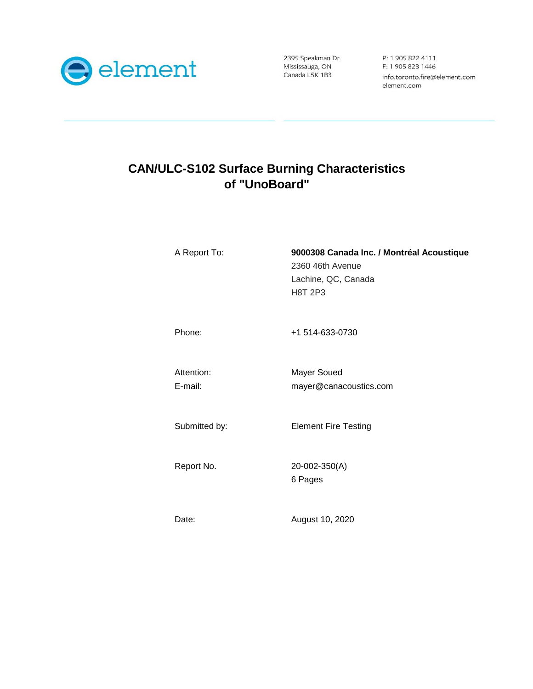

2395 Speakman Dr. Mississauga, ON Canada L5K 1B3

P: 1 905 822 4111 F: 1 905 823 1446 info.toronto.fire@element.com element.com

# **CAN/ULC-S102 Surface Burning Characteristics of "UnoBoard"**

| A Report To:          | 9000308 Canada Inc. / Montréal Acoustique<br>2360 46th Avenue<br>Lachine, QC, Canada<br><b>H8T 2P3</b> |
|-----------------------|--------------------------------------------------------------------------------------------------------|
| Phone:                | +1 514-633-0730                                                                                        |
| Attention:<br>E-mail: | Mayer Soued<br>mayer@canacoustics.com                                                                  |
| Submitted by:         | <b>Element Fire Testing</b>                                                                            |
| Report No.            | 20-002-350(A)<br>6 Pages                                                                               |
| Date:                 | August 10, 2020                                                                                        |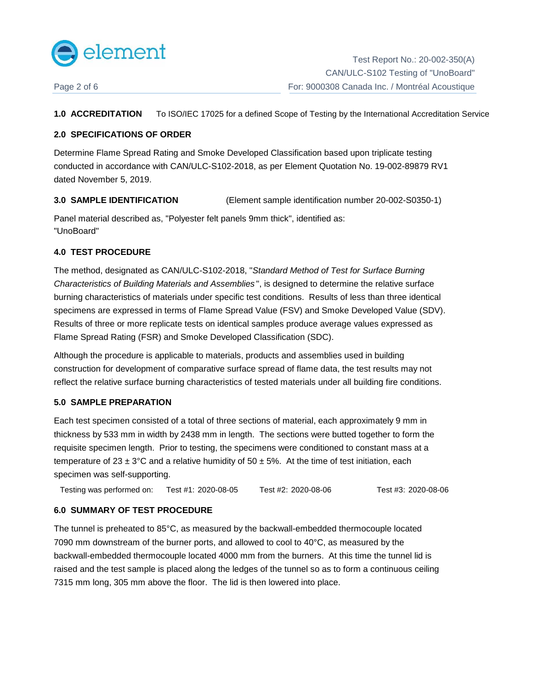

**1.0 ACCREDITATION** To ISO/IEC 17025 for a defined Scope of Testing by the International Accreditation Service

### **2.0 SPECIFICATIONS OF ORDER**

Determine Flame Spread Rating and Smoke Developed Classification based upon triplicate testing conducted in accordance with CAN/ULC-S102-2018, as per Element Quotation No. 19-002-89879 RV1 dated November 5, 2019.

**3.0 SAMPLE IDENTIFICATION** (Element sample identification number 20-002-S0350-1)

Panel material described as, "Polyester felt panels 9mm thick", identified as: "UnoBoard"

# **4.0 TEST PROCEDURE**

The method, designated as CAN/ULC-S102-2018, "Standard Method of Test for Surface Burning Characteristics of Building Materials and Assemblies ", is designed to determine the relative surface burning characteristics of materials under specific test conditions. Results of less than three identical specimens are expressed in terms of Flame Spread Value (FSV) and Smoke Developed Value (SDV). Results of three or more replicate tests on identical samples produce average values expressed as Flame Spread Rating (FSR) and Smoke Developed Classification (SDC).

Although the procedure is applicable to materials, products and assemblies used in building construction for development of comparative surface spread of flame data, the test results may not reflect the relative surface burning characteristics of tested materials under all building fire conditions.

#### **5.0 SAMPLE PREPARATION**

Each test specimen consisted of a total of three sections of material, each approximately 9 mm in thickness by 533 mm in width by 2438 mm in length. The sections were butted together to form the requisite specimen length. Prior to testing, the specimens were conditioned to constant mass at a temperature of  $23 \pm 3^{\circ}$ C and a relative humidity of  $50 \pm 5\%$ . At the time of test initiation, each specimen was self-supporting.

Testing was performed on: Test #1: 2020-08-05 Test #2: 2020-08-06 Test #3: 2020-08-06 Test #2: 2020-08-06

#### **6.0 SUMMARY OF TEST PROCEDURE**

The tunnel is preheated to 85°C, as measured by the backwall-embedded thermocouple located 7090 mm downstream of the burner ports, and allowed to cool to 40°C, as measured by the backwall-embedded thermocouple located 4000 mm from the burners. At this time the tunnel lid is raised and the test sample is placed along the ledges of the tunnel so as to form a continuous ceiling 7315 mm long, 305 mm above the floor. The lid is then lowered into place.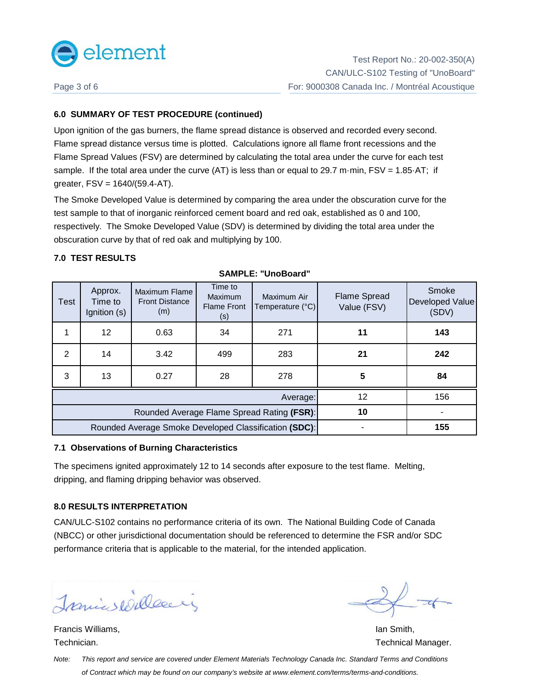

# **6.0 SUMMARY OF TEST PROCEDURE (continued)**

Upon ignition of the gas burners, the flame spread distance is observed and recorded every second. Flame spread distance versus time is plotted. Calculations ignore all flame front recessions and the Flame Spread Values (FSV) are determined by calculating the total area under the curve for each test sample. If the total area under the curve (AT) is less than or equal to 29.7 m·min,  $FSV = 1.85·AT$ ; if greater, FSV = 1640/(59.4-AT).

The Smoke Developed Value is determined by comparing the area under the obscuration curve for the test sample to that of inorganic reinforced cement board and red oak, established as 0 and 100, respectively. The Smoke Developed Value (SDV) is determined by dividing the total area under the obscuration curve by that of red oak and multiplying by 100.

# **7.0 TEST RESULTS**

| Test                                                  | Approx.<br>Time to<br>Ignition (s) | Maximum Flame<br><b>Front Distance</b><br>(m) | Time to<br><b>Maximum</b><br><b>Flame Front</b><br>(s) | Maximum Air<br>Temperature (°C) | <b>Flame Spread</b><br>Value (FSV) | Smoke<br>Developed Value<br>(SDV) |
|-------------------------------------------------------|------------------------------------|-----------------------------------------------|--------------------------------------------------------|---------------------------------|------------------------------------|-----------------------------------|
|                                                       | 12                                 | 0.63                                          | 34                                                     | 271                             | 11                                 | 143                               |
| 2                                                     | 14                                 | 3.42                                          | 499                                                    | 283                             | 21                                 | 242                               |
| 3                                                     | 13                                 | 0.27                                          | 28                                                     | 278                             | 5                                  | 84                                |
| Average:                                              |                                    |                                               |                                                        |                                 | 12                                 | 156                               |
| Rounded Average Flame Spread Rating (FSR):            |                                    |                                               |                                                        | 10                              |                                    |                                   |
| Rounded Average Smoke Developed Classification (SDC): |                                    |                                               |                                                        |                                 | 155                                |                                   |

**SAMPLE: "UnoBoard"**

#### **7.1 Observations of Burning Characteristics**

The specimens ignited approximately 12 to 14 seconds after exposure to the test flame. Melting, dripping, and flaming dripping behavior was observed.

#### **8.0 RESULTS INTERPRETATION**

CAN/ULC-S102 contains no performance criteria of its own. The National Building Code of Canada (NBCC) or other jurisdictional documentation should be referenced to determine the FSR and/or SDC performance criteria that is applicable to the material, for the intended application.

Tranics Willesein

**Francis Williams, Ian Smith, Ian Smith, Ian Smith, Ian Smith, Ian Smith, Ian Smith, Ian Smith, Ian Smith, Ian Smith, Ian Smith, Ian Smith, Ian Smith, Ian Smith, Ian Smith, Ian Smith, Ian Smith, Ian Smith, Ian Smith, Ian S** 

Technician. Technical Manager. The contract of the contract of the contract of the contract of the contract of the contract of the contract of the contract of the contract of the contract of the contract of the contract of

Note: This report and service are covered under Element Materials Technology Canada Inc. Standard Terms and Conditions of Contract which may be found on our company's website at www.element.com/terms/terms-and-conditions.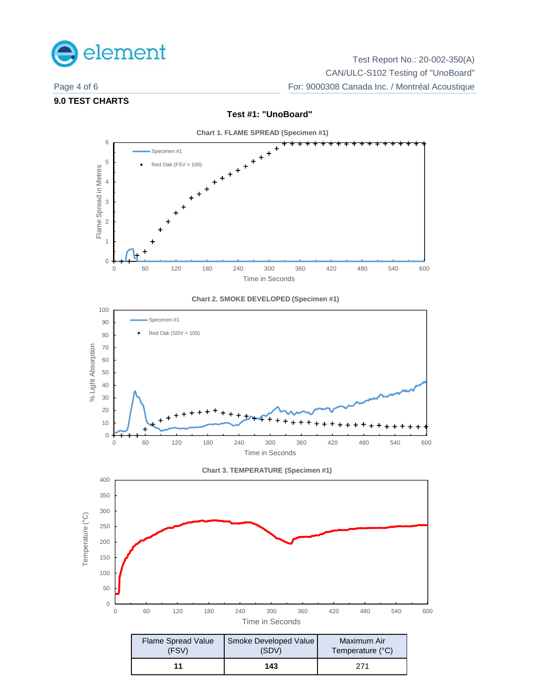

Test Report No.: 20-002-350(A) CAN/ULC-S102 Testing of "UnoBoard" Page 4 of 6 For: 9000308 Canada Inc. / Montréal Acoustique

# **9.0 TEST CHARTS**



**Test #1: "UnoBoard"**







**11 143** 271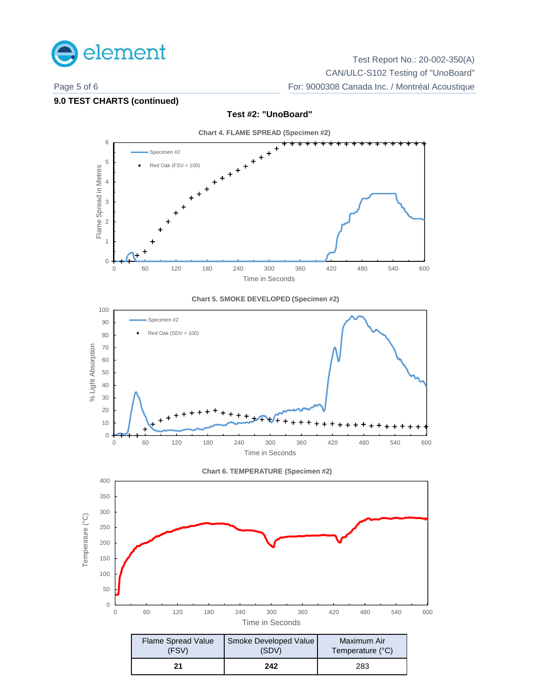

Test Report No.: 20-002-350(A) CAN/ULC-S102 Testing of "UnoBoard" Page 5 of 6 For: 9000308 Canada Inc. / Montréal Acoustique

### **9.0 TEST CHARTS (continued)**



**21 242** 283

# **Test #2: "UnoBoard"**